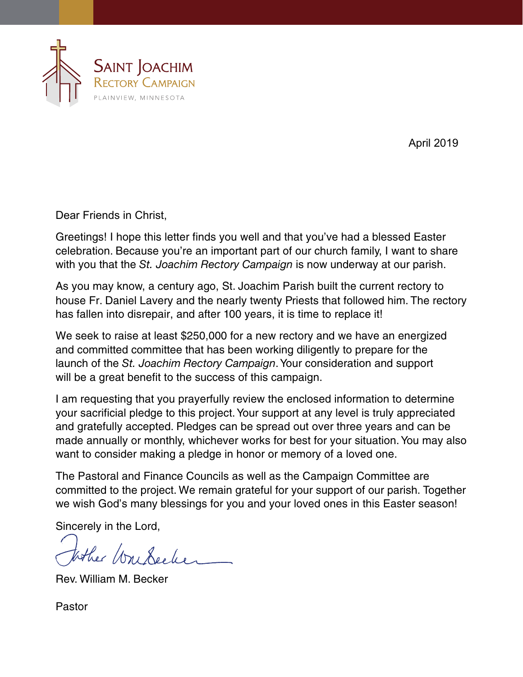

April 2019

Dear Friends in Christ,

Greetings! I hope this letter finds you well and that you've had a blessed Easter celebration. Because you're an important part of our church family, I want to share with you that the *St. Joachim Rectory Campaign* is now underway at our parish.

As you may know, a century ago, St. Joachim Parish built the current rectory to house Fr. Daniel Lavery and the nearly twenty Priests that followed him. The rectory has fallen into disrepair, and after 100 years, it is time to replace it!

We seek to raise at least \$250,000 for a new rectory and we have an energized and committed committee that has been working diligently to prepare for the launch of the *St. Joachim Rectory Campaign*.Your consideration and support will be a great benefit to the success of this campaign.

I am requesting that you prayerfully review the enclosed information to determine your sacrificial pledge to this project.Your support at any level is truly appreciated and gratefully accepted. Pledges can be spread out over three years and can be made annually or monthly, whichever works for best for your situation.You may also want to consider making a pledge in honor or memory of a loved one.

The Pastoral and Finance Councils as well as the Campaign Committee are committed to the project. We remain grateful for your support of our parish. Together we wish God's many blessings for you and your loved ones in this Easter season!

Sincerely in the Lord,

tother Workecker

Rev. William M. Becker

Pastor